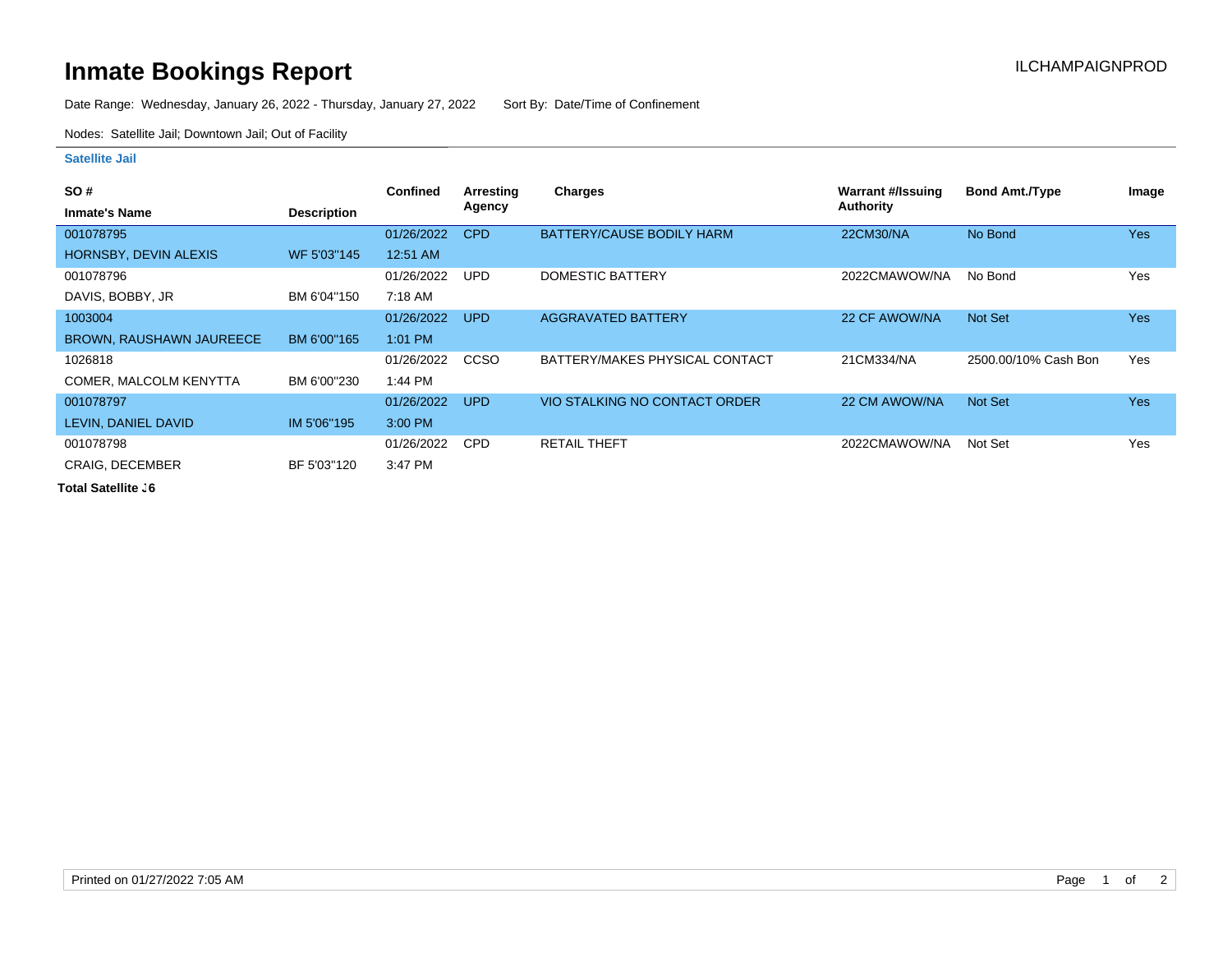## **Inmate Bookings Report Inmate Bookings Report**

Date Range: Wednesday, January 26, 2022 - Thursday, January 27, 2022 Sort By: Date/Time of Confinement

Nodes: Satellite Jail; Downtown Jail; Out of Facility

## **Satellite Jail**

| <b>SO#</b>               |                    | <b>Confined</b> | Arresting   | <b>Charges</b>                 | Warrant #/Issuing | <b>Bond Amt./Type</b> | Image      |
|--------------------------|--------------------|-----------------|-------------|--------------------------------|-------------------|-----------------------|------------|
| <b>Inmate's Name</b>     | <b>Description</b> |                 | Agency      |                                | Authority         |                       |            |
| 001078795                |                    | 01/26/2022      | <b>CPD</b>  | BATTERY/CAUSE BODILY HARM      | 22CM30/NA         | No Bond               | <b>Yes</b> |
| HORNSBY, DEVIN ALEXIS    | WF 5'03"145        | 12:51 AM        |             |                                |                   |                       |            |
| 001078796                |                    | 01/26/2022      | UPD.        | DOMESTIC BATTERY               | 2022CMAWOW/NA     | No Bond               | Yes        |
| DAVIS, BOBBY, JR         | BM 6'04"150        | 7:18 AM         |             |                                |                   |                       |            |
| 1003004                  |                    | 01/26/2022      | <b>UPD</b>  | <b>AGGRAVATED BATTERY</b>      | 22 CF AWOW/NA     | Not Set               | <b>Yes</b> |
| BROWN, RAUSHAWN JAUREECE | BM 6'00"165        | $1:01$ PM       |             |                                |                   |                       |            |
| 1026818                  |                    | 01/26/2022      | <b>CCSO</b> | BATTERY/MAKES PHYSICAL CONTACT | 21CM334/NA        | 2500.00/10% Cash Bon  | Yes        |
| COMER, MALCOLM KENYTTA   | BM 6'00"230        | 1:44 PM         |             |                                |                   |                       |            |
| 001078797                |                    | 01/26/2022      | <b>UPD</b>  | VIO STALKING NO CONTACT ORDER  | 22 CM AWOW/NA     | Not Set               | <b>Yes</b> |
| LEVIN, DANIEL DAVID      | IM 5'06"195        | 3:00 PM         |             |                                |                   |                       |            |
| 001078798                |                    | 01/26/2022      | <b>CPD</b>  | <b>RETAIL THEFT</b>            | 2022CMAWOW/NA     | Not Set               | Yes        |
| <b>CRAIG, DECEMBER</b>   | BF 5'03"120        | 3:47 PM         |             |                                |                   |                       |            |

**Total Satellite J6**